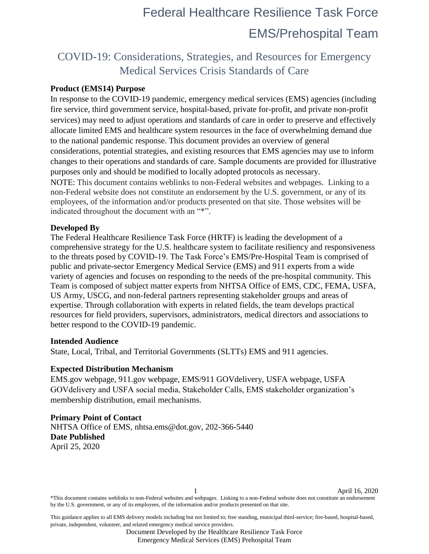### COVID-19: Considerations, Strategies, and Resources for Emergency Medical Services Crisis Standards of Care

### **Product (EMS14) Purpose**

In response to the COVID-19 pandemic, emergency medical services (EMS) agencies (including fire service, third government service, hospital-based, private for-profit, and private non-profit services) may need to adjust operations and standards of care in order to preserve and effectively allocate limited EMS and healthcare system resources in the face of overwhelming demand due to the national pandemic response. This document provides an overview of general considerations, potential strategies, and existing resources that EMS agencies may use to inform changes to their operations and standards of care. Sample documents are provided for illustrative purposes only and should be modified to locally adopted protocols as necessary. NOTE: This document contains weblinks to non-Federal websites and webpages. Linking to a non-Federal website does not constitute an endorsement by the U.S. government, or any of its employees, of the information and/or products presented on that site. Those websites will be indicated throughout the document with an "\*".

#### **Developed By**

The Federal Healthcare Resilience Task Force (HRTF) is leading the development of a comprehensive strategy for the U.S. healthcare system to facilitate resiliency and responsiveness to the threats posed by COVID-19. The Task Force's EMS/Pre-Hospital Team is comprised of public and private-sector Emergency Medical Service (EMS) and 911 experts from a wide variety of agencies and focuses on responding to the needs of the pre-hospital community. This Team is composed of subject matter experts from NHTSA Office of EMS, CDC, FEMA, USFA, US Army, USCG, and non-federal partners representing stakeholder groups and areas of expertise. Through collaboration with experts in related fields, the team develops practical resources for field providers, supervisors, administrators, medical directors and associations to better respond to the COVID-19 pandemic.

#### **Intended Audience**

State, Local, Tribal, and Territorial Governments (SLTTs) EMS and 911 agencies.

#### **Expected Distribution Mechanism**

EMS.gov webpage, 911.gov webpage, EMS/911 GOVdelivery, USFA webpage, USFA GOVdelivery and USFA social media, Stakeholder Calls, EMS stakeholder organization's membership distribution, email mechanisms.

### **Primary Point of Contact**

NHTSA Office of EMS, nhtsa.ems@dot.gov, 202-366-5440 **Date Published**  April 25, 2020

1 April 16, 2020 \*This document contains weblinks to non-Federal websites and webpages. Linking to a non-Federal website does not constitute an endorsement by the U.S. government, or any of its employees, of the information and/or products presented on that site.

This guidance applies to all EMS delivery models including but not limited to; free standing, municipal third-service; fire-based, hospital-based, private, independent, volunteer, and related emergency medical service providers.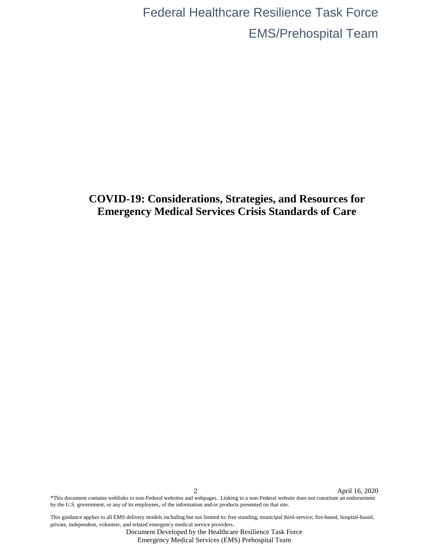### **COVID-19: Considerations, Strategies, and Resources for Emergency Medical Services Crisis Standards of Care**

2 April 16, 2020 \*This document contains weblinks to non-Federal websites and webpages. Linking to a non-Federal website does not constitute an endorsement by the U.S. government, or any of its employees, of the information and/or products presented on that site.

This guidance applies to all EMS delivery models including but not limited to; free standing, municipal third-service; fire-based, hospital-based, private, independent, volunteer, and related emergency medical service providers.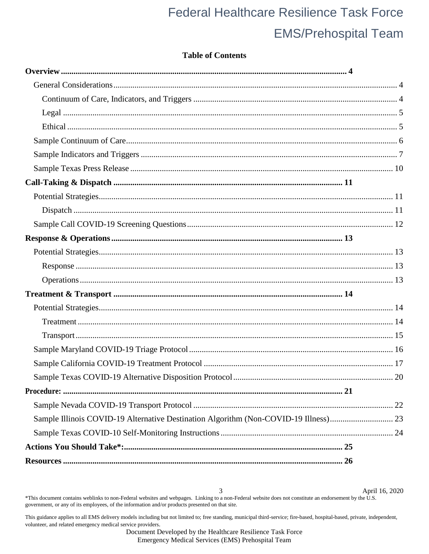### **Table of Contents**

| Sample Illinois COVID-19 Alternative Destination Algorithm (Non-COVID-19 Illness) 23 |  |
|--------------------------------------------------------------------------------------|--|
|                                                                                      |  |
|                                                                                      |  |
|                                                                                      |  |

April 16, 2020 3 \*This document contains weblinks to non-Federal websites and webpages. Linking to a non-Federal website does not constitute an endorsement by the U.S. government, or any of its employees, of the information and/or products presented on that site.

This guidance applies to all EMS delivery models including but not limited to; free standing, municipal third-service; fire-based, hospital-based, private, independent, volunteer, and related emergency medical service providers.

Document Developed by the Healthcare Resilience Task Force

Emergency Medical Services (EMS) Prehospital Team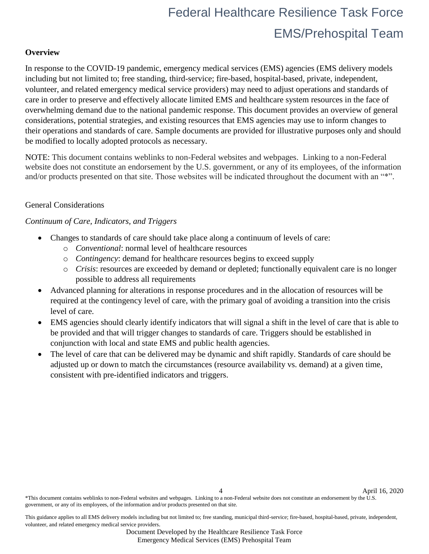### <span id="page-3-0"></span>**Overview**

In response to the COVID-19 pandemic, emergency medical services (EMS) agencies (EMS delivery models including but not limited to; free standing, third-service; fire-based, hospital-based, private, independent, volunteer, and related emergency medical service providers) may need to adjust operations and standards of care in order to preserve and effectively allocate limited EMS and healthcare system resources in the face of overwhelming demand due to the national pandemic response. This document provides an overview of general considerations, potential strategies, and existing resources that EMS agencies may use to inform changes to their operations and standards of care. Sample documents are provided for illustrative purposes only and should be modified to locally adopted protocols as necessary.

NOTE: This document contains weblinks to non-Federal websites and webpages. Linking to a non-Federal website does not constitute an endorsement by the U.S. government, or any of its employees, of the information and/or products presented on that site. Those websites will be indicated throughout the document with an "\*".

### <span id="page-3-1"></span>General Considerations

### <span id="page-3-2"></span>*Continuum of Care, Indicators, and Triggers*

- Changes to standards of care should take place along a continuum of levels of care:
	- o *Conventional*: normal level of healthcare resources
	- o *Contingency*: demand for healthcare resources begins to exceed supply
	- o *Crisis*: resources are exceeded by demand or depleted; functionally equivalent care is no longer possible to address all requirements
- Advanced planning for alterations in response procedures and in the allocation of resources will be required at the contingency level of care, with the primary goal of avoiding a transition into the crisis level of care.
- EMS agencies should clearly identify indicators that will signal a shift in the level of care that is able to be provided and that will trigger changes to standards of care. Triggers should be established in conjunction with local and state EMS and public health agencies.
- The level of care that can be delivered may be dynamic and shift rapidly. Standards of care should be adjusted up or down to match the circumstances (resource availability vs. demand) at a given time, consistent with pre-identified indicators and triggers.

Document Developed by the Healthcare Resilience Task Force

4 April 16, 2020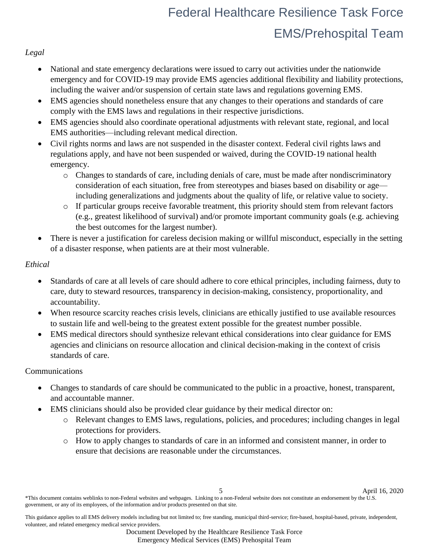### <span id="page-4-0"></span>*Legal*

- National and state emergency declarations were issued to carry out activities under the nationwide emergency and for COVID-19 may provide EMS agencies additional flexibility and liability protections, including the waiver and/or suspension of certain state laws and regulations governing EMS.
- EMS agencies should nonetheless ensure that any changes to their operations and standards of care comply with the EMS laws and regulations in their respective jurisdictions.
- EMS agencies should also coordinate operational adjustments with relevant state, regional, and local EMS authorities—including relevant medical direction.
- Civil rights norms and laws are not suspended in the disaster context. Federal civil rights laws and regulations apply, and have not been suspended or waived, during the COVID-19 national health emergency.
	- o Changes to standards of care, including denials of care, must be made after nondiscriminatory consideration of each situation, free from stereotypes and biases based on disability or age including generalizations and judgments about the quality of life, or relative value to society.
	- o If particular groups receive favorable treatment, this priority should stem from relevant factors (e.g., greatest likelihood of survival) and/or promote important community goals (e.g. achieving the best outcomes for the largest number).
- There is never a justification for careless decision making or willful misconduct, especially in the setting of a disaster response, when patients are at their most vulnerable.

### <span id="page-4-1"></span>*Ethical*

- Standards of care at all levels of care should adhere to core ethical principles, including fairness, duty to care, duty to steward resources, transparency in decision-making, consistency, proportionality, and accountability.
- When resource scarcity reaches crisis levels, clinicians are ethically justified to use available resources to sustain life and well-being to the greatest extent possible for the greatest number possible.
- EMS medical directors should synthesize relevant ethical considerations into clear guidance for EMS agencies and clinicians on resource allocation and clinical decision-making in the context of crisis standards of care.

### Communications

- Changes to standards of care should be communicated to the public in a proactive, honest, transparent, and accountable manner.
- EMS clinicians should also be provided clear guidance by their medical director on:
	- o Relevant changes to EMS laws, regulations, policies, and procedures; including changes in legal protections for providers.
	- o How to apply changes to standards of care in an informed and consistent manner, in order to ensure that decisions are reasonable under the circumstances.

This guidance applies to all EMS delivery models including but not limited to; free standing, municipal third-service; fire-based, hospital-based, private, independent, volunteer, and related emergency medical service providers.

Document Developed by the Healthcare Resilience Task Force

Emergency Medical Services (EMS) Prehospital Team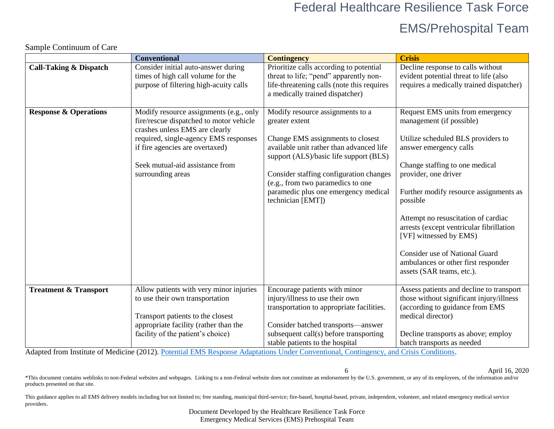### EMS/Prehospital Team

6 April 16, 2020

|                                   | <b>Conventional</b>                                                                                                                                                                                                                                      | <b>Contingency</b>                                                                                                                                                                                                                                                                                                         | <b>Crisis</b>                                                                                                                                                                                                                                                                                                                                                                                                                                                          |
|-----------------------------------|----------------------------------------------------------------------------------------------------------------------------------------------------------------------------------------------------------------------------------------------------------|----------------------------------------------------------------------------------------------------------------------------------------------------------------------------------------------------------------------------------------------------------------------------------------------------------------------------|------------------------------------------------------------------------------------------------------------------------------------------------------------------------------------------------------------------------------------------------------------------------------------------------------------------------------------------------------------------------------------------------------------------------------------------------------------------------|
| <b>Call-Taking &amp; Dispatch</b> | Consider initial auto-answer during<br>times of high call volume for the<br>purpose of filtering high-acuity calls                                                                                                                                       | Prioritize calls according to potential<br>threat to life; "pend" apparently non-<br>life-threatening calls (note this requires<br>a medically trained dispatcher)                                                                                                                                                         | Decline response to calls without<br>evident potential threat to life (also<br>requires a medically trained dispatcher)                                                                                                                                                                                                                                                                                                                                                |
| <b>Response &amp; Operations</b>  | Modify resource assignments (e.g., only<br>fire/rescue dispatched to motor vehicle<br>crashes unless EMS are clearly<br>required, single-agency EMS responses<br>if fire agencies are overtaxed)<br>Seek mutual-aid assistance from<br>surrounding areas | Modify resource assignments to a<br>greater extent<br>Change EMS assignments to closest<br>available unit rather than advanced life<br>support (ALS)/basic life support (BLS)<br>Consider staffing configuration changes<br>(e.g., from two paramedics to one<br>paramedic plus one emergency medical<br>technician [EMT]) | Request EMS units from emergency<br>management (if possible)<br>Utilize scheduled BLS providers to<br>answer emergency calls<br>Change staffing to one medical<br>provider, one driver<br>Further modify resource assignments as<br>possible<br>Attempt no resuscitation of cardiac<br>arrests (except ventricular fibrillation<br>[VF] witnessed by EMS)<br><b>Consider use of National Guard</b><br>ambulances or other first responder<br>assets (SAR teams, etc.). |
| <b>Treatment &amp; Transport</b>  | Allow patients with very minor injuries<br>to use their own transportation<br>Transport patients to the closest<br>appropriate facility (rather than the<br>facility of the patient's choice)                                                            | Encourage patients with minor<br>injury/illness to use their own<br>transportation to appropriate facilities.<br>Consider batched transports-answer<br>subsequent call(s) before transporting<br>stable patients to the hospital                                                                                           | Assess patients and decline to transport<br>those without significant injury/illness<br>(according to guidance from EMS<br>medical director)<br>Decline transports as above; employ<br>batch transports as needed                                                                                                                                                                                                                                                      |

<span id="page-5-0"></span>

Sample Continuum of Care

Adapted from Institute of Medicine (2012). [Potential EMS Response Adaptations Under Conventional, Contingency, and Crisis Conditions.](https://www.ncbi.nlm.nih.gov/books/NBK201058/table/tab6_1/?report=objectonly)

\*This document contains weblinks to non-Federal websites and webpages. Linking to a non-Federal website does not constitute an endorsement by the U.S. government, or any of its employees, of the information and/or products presented on that site.

This guidance applies to all EMS delivery models including but not limited to; free standing, municipal third-service; fire-based, hospital-based, private, independent, volunteer, and related emergency medical service providers.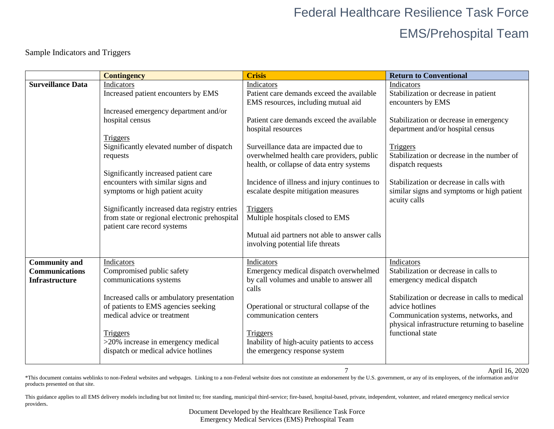Sample Indicators and Triggers

<span id="page-6-0"></span>

|                                               | <b>Contingency</b>                                       | <b>Crisis</b>                                                                      | <b>Return to Conventional</b>                                               |
|-----------------------------------------------|----------------------------------------------------------|------------------------------------------------------------------------------------|-----------------------------------------------------------------------------|
| <b>Surveillance Data</b>                      | Indicators                                               | Indicators                                                                         | Indicators                                                                  |
|                                               | Increased patient encounters by EMS                      | Patient care demands exceed the available                                          | Stabilization or decrease in patient                                        |
|                                               |                                                          | EMS resources, including mutual aid                                                | encounters by EMS                                                           |
|                                               | Increased emergency department and/or<br>hospital census | Patient care demands exceed the available                                          |                                                                             |
|                                               |                                                          | hospital resources                                                                 | Stabilization or decrease in emergency<br>department and/or hospital census |
|                                               | <b>Triggers</b>                                          |                                                                                    |                                                                             |
|                                               | Significantly elevated number of dispatch                | Surveillance data are impacted due to                                              | Triggers                                                                    |
|                                               | requests                                                 | overwhelmed health care providers, public                                          | Stabilization or decrease in the number of                                  |
|                                               |                                                          | health, or collapse of data entry systems                                          | dispatch requests                                                           |
|                                               | Significantly increased patient care                     |                                                                                    |                                                                             |
|                                               | encounters with similar signs and                        | Incidence of illness and injury continues to                                       | Stabilization or decrease in calls with                                     |
|                                               | symptoms or high patient acuity                          | escalate despite mitigation measures                                               | similar signs and symptoms or high patient                                  |
|                                               | Significantly increased data registry entries            | Triggers                                                                           | acuity calls                                                                |
|                                               | from state or regional electronic prehospital            | Multiple hospitals closed to EMS                                                   |                                                                             |
|                                               | patient care record systems                              |                                                                                    |                                                                             |
|                                               |                                                          | Mutual aid partners not able to answer calls                                       |                                                                             |
|                                               |                                                          | involving potential life threats                                                   |                                                                             |
|                                               |                                                          |                                                                                    |                                                                             |
| <b>Community and</b><br><b>Communications</b> | Indicators                                               | Indicators                                                                         | Indicators<br>Stabilization or decrease in calls to                         |
| <b>Infrastructure</b>                         | Compromised public safety<br>communications systems      | Emergency medical dispatch overwhelmed<br>by call volumes and unable to answer all | emergency medical dispatch                                                  |
|                                               |                                                          | calls                                                                              |                                                                             |
|                                               | Increased calls or ambulatory presentation               |                                                                                    | Stabilization or decrease in calls to medical                               |
|                                               | of patients to EMS agencies seeking                      | Operational or structural collapse of the                                          | advice hotlines                                                             |
|                                               | medical advice or treatment                              | communication centers                                                              | Communication systems, networks, and                                        |
|                                               |                                                          |                                                                                    | physical infrastructure returning to baseline                               |
|                                               | Triggers                                                 | Triggers                                                                           | functional state                                                            |
|                                               | >20% increase in emergency medical                       | Inability of high-acuity patients to access                                        |                                                                             |
|                                               | dispatch or medical advice hotlines                      | the emergency response system                                                      |                                                                             |
|                                               |                                                          |                                                                                    |                                                                             |

7 April 16, 2020

\*This document contains weblinks to non-Federal websites and webpages. Linking to a non-Federal website does not constitute an endorsement by the U.S. government, or any of its employees, of the information and/or products presented on that site.

This guidance applies to all EMS delivery models including but not limited to; free standing, municipal third-service; fire-based, hospital-based, private, independent, volunteer, and related emergency medical service providers.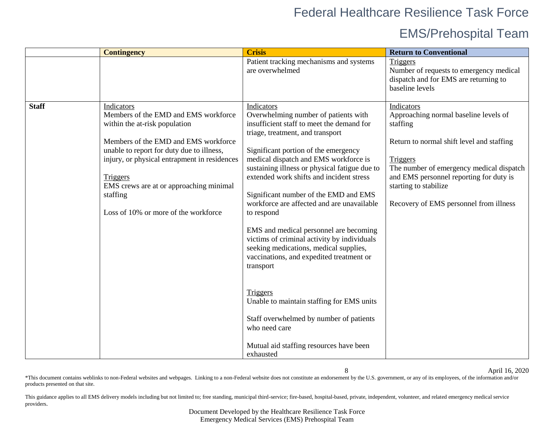## EMS/Prehospital Team

|              | <b>Contingency</b>                                                                                                                                                                                                                                                                                                                  | <b>Crisis</b>                                                                                                                                                                                                                                                                                                                                                                                                                                                                                                                                                                                                                                                                                                                                                                                          | <b>Return to Conventional</b>                                                                                                                                                                                                                                                      |
|--------------|-------------------------------------------------------------------------------------------------------------------------------------------------------------------------------------------------------------------------------------------------------------------------------------------------------------------------------------|--------------------------------------------------------------------------------------------------------------------------------------------------------------------------------------------------------------------------------------------------------------------------------------------------------------------------------------------------------------------------------------------------------------------------------------------------------------------------------------------------------------------------------------------------------------------------------------------------------------------------------------------------------------------------------------------------------------------------------------------------------------------------------------------------------|------------------------------------------------------------------------------------------------------------------------------------------------------------------------------------------------------------------------------------------------------------------------------------|
|              |                                                                                                                                                                                                                                                                                                                                     | Patient tracking mechanisms and systems<br>are overwhelmed                                                                                                                                                                                                                                                                                                                                                                                                                                                                                                                                                                                                                                                                                                                                             | Triggers<br>Number of requests to emergency medical<br>dispatch and for EMS are returning to<br>baseline levels                                                                                                                                                                    |
| <b>Staff</b> | Indicators<br>Members of the EMD and EMS workforce<br>within the at-risk population<br>Members of the EMD and EMS workforce<br>unable to report for duty due to illness,<br>injury, or physical entrapment in residences<br>Triggers<br>EMS crews are at or approaching minimal<br>staffing<br>Loss of 10% or more of the workforce | <b>Indicators</b><br>Overwhelming number of patients with<br>insufficient staff to meet the demand for<br>triage, treatment, and transport<br>Significant portion of the emergency<br>medical dispatch and EMS workforce is<br>sustaining illness or physical fatigue due to<br>extended work shifts and incident stress<br>Significant number of the EMD and EMS<br>workforce are affected and are unavailable<br>to respond<br>EMS and medical personnel are becoming<br>victims of criminal activity by individuals<br>seeking medications, medical supplies,<br>vaccinations, and expedited treatment or<br>transport<br>Triggers<br>Unable to maintain staffing for EMS units<br>Staff overwhelmed by number of patients<br>who need care<br>Mutual aid staffing resources have been<br>exhausted | Indicators<br>Approaching normal baseline levels of<br>staffing<br>Return to normal shift level and staffing<br>Triggers<br>The number of emergency medical dispatch<br>and EMS personnel reporting for duty is<br>starting to stabilize<br>Recovery of EMS personnel from illness |

8 April 16, 2020

\*This document contains weblinks to non-Federal websites and webpages. Linking to a non-Federal website does not constitute an endorsement by the U.S. government, or any of its employees, of the information and/or products presented on that site.

This guidance applies to all EMS delivery models including but not limited to; free standing, municipal third-service; fire-based, hospital-based, private, independent, volunteer, and related emergency medical service providers.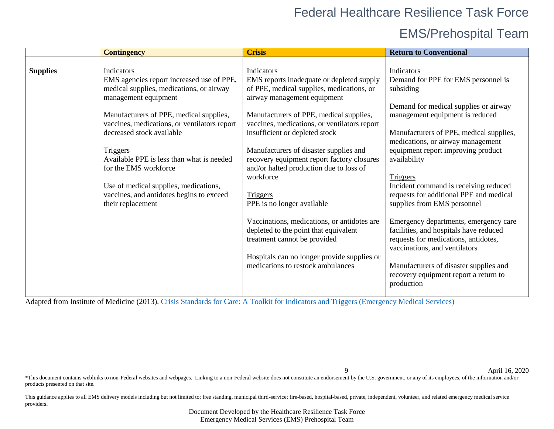## EMS/Prehospital Team

| <b>Contingency</b>                                                                                                                                                                                                                                                                                                                                                                                                                                                               | <b>Crisis</b>                                                                                                                                                                                                                                                                                                                                                                                                                                                                                                                                                                                                                                                          | <b>Return to Conventional</b>                                                                                                                                                                                                                                                                                                                                                                                                                                                                                                                                                                                                                                                       |
|----------------------------------------------------------------------------------------------------------------------------------------------------------------------------------------------------------------------------------------------------------------------------------------------------------------------------------------------------------------------------------------------------------------------------------------------------------------------------------|------------------------------------------------------------------------------------------------------------------------------------------------------------------------------------------------------------------------------------------------------------------------------------------------------------------------------------------------------------------------------------------------------------------------------------------------------------------------------------------------------------------------------------------------------------------------------------------------------------------------------------------------------------------------|-------------------------------------------------------------------------------------------------------------------------------------------------------------------------------------------------------------------------------------------------------------------------------------------------------------------------------------------------------------------------------------------------------------------------------------------------------------------------------------------------------------------------------------------------------------------------------------------------------------------------------------------------------------------------------------|
|                                                                                                                                                                                                                                                                                                                                                                                                                                                                                  |                                                                                                                                                                                                                                                                                                                                                                                                                                                                                                                                                                                                                                                                        |                                                                                                                                                                                                                                                                                                                                                                                                                                                                                                                                                                                                                                                                                     |
| <b>Indicators</b><br><b>Supplies</b><br>EMS agencies report increased use of PPE,<br>medical supplies, medications, or airway<br>management equipment<br>Manufacturers of PPE, medical supplies,<br>vaccines, medications, or ventilators report<br>decreased stock available<br><b>Triggers</b><br>Available PPE is less than what is needed<br>for the EMS workforce<br>Use of medical supplies, medications,<br>vaccines, and antidotes begins to exceed<br>their replacement | Indicators<br>EMS reports inadequate or depleted supply<br>of PPE, medical supplies, medications, or<br>airway management equipment<br>Manufacturers of PPE, medical supplies,<br>vaccines, medications, or ventilators report<br>insufficient or depleted stock<br>Manufacturers of disaster supplies and<br>recovery equipment report factory closures<br>and/or halted production due to loss of<br>workforce<br>Triggers<br>PPE is no longer available<br>Vaccinations, medications, or antidotes are<br>depleted to the point that equivalent<br>treatment cannot be provided<br>Hospitals can no longer provide supplies or<br>medications to restock ambulances | Indicators<br>Demand for PPE for EMS personnel is<br>subsiding<br>Demand for medical supplies or airway<br>management equipment is reduced<br>Manufacturers of PPE, medical supplies,<br>medications, or airway management<br>equipment report improving product<br>availability<br><b>Triggers</b><br>Incident command is receiving reduced<br>requests for additional PPE and medical<br>supplies from EMS personnel<br>Emergency departments, emergency care<br>facilities, and hospitals have reduced<br>requests for medications, antidotes,<br>vaccinations, and ventilators<br>Manufacturers of disaster supplies and<br>recovery equipment report a return to<br>production |

Adapted from Institute of Medicine (2013). [Crisis Standards for Care: A Toolkit for Indicators and Triggers \(Emergency Medical Services\)](https://www.nap.edu/catalog/18338/crisis-standards-of-care-a-toolkit-for-indicators-and-triggers)

9 April 16, 2020

\*This document contains weblinks to non-Federal websites and webpages. Linking to a non-Federal website does not constitute an endorsement by the U.S. government, or any of its employees, of the information and/or products presented on that site.

This guidance applies to all EMS delivery models including but not limited to; free standing, municipal third-service; fire-based, hospital-based, private, independent, volunteer, and related emergency medical service providers.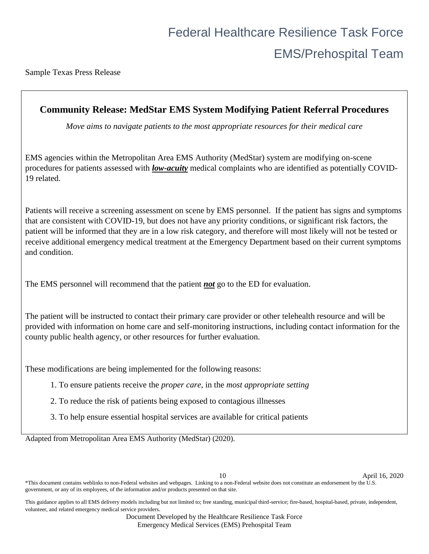<span id="page-9-0"></span>Sample Texas Press Release

### **Community Release: MedStar EMS System Modifying Patient Referral Procedures**

*Move aims to navigate patients to the most appropriate resources for their medical care*

EMS agencies within the Metropolitan Area EMS Authority (MedStar) system are modifying on-scene procedures for patients assessed with *low-acuity* medical complaints who are identified as potentially COVID-19 related.

Patients will receive a screening assessment on scene by EMS personnel. If the patient has signs and symptoms that are consistent with COVID-19, but does not have any priority conditions, or significant risk factors, the patient will be informed that they are in a low risk category, and therefore will most likely will not be tested or receive additional emergency medical treatment at the Emergency Department based on their current symptoms and condition.

The EMS personnel will recommend that the patient *not* go to the ED for evaluation.

The patient will be instructed to contact their primary care provider or other telehealth resource and will be provided with information on home care and self-monitoring instructions, including contact information for the county public health agency, or other resources for further evaluation.

These modifications are being implemented for the following reasons:

- 1. To ensure patients receive the *proper care*, in the *most appropriate setting*
- 2. To reduce the risk of patients being exposed to contagious illnesses
- 3. To help ensure essential hospital services are available for critical patients

Adapted from Metropolitan Area EMS Authority (MedStar) (2020).

10 April 16, 2020

This guidance applies to all EMS delivery models including but not limited to; free standing, municipal third-service; fire-based, hospital-based, private, independent, volunteer, and related emergency medical service providers.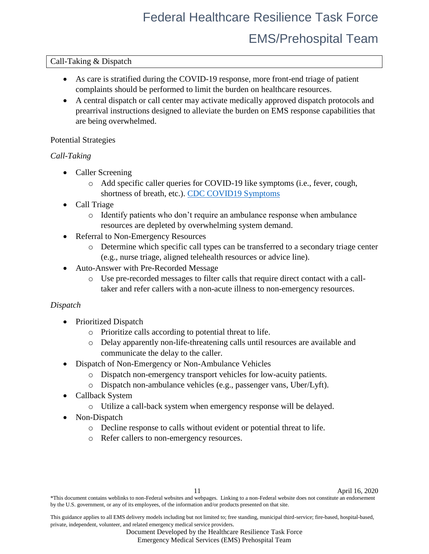### <span id="page-10-0"></span>Call-Taking & Dispatch

- As care is stratified during the COVID-19 response, more front-end triage of patient complaints should be performed to limit the burden on healthcare resources.
- A central dispatch or call center may activate medically approved dispatch protocols and prearrival instructions designed to alleviate the burden on EMS response capabilities that are being overwhelmed.

### <span id="page-10-1"></span>Potential Strategies

### *Call-Taking*

- Caller Screening
	- o Add specific caller queries for COVID-19 like symptoms (i.e., fever, cough, shortness of breath, etc.). [CDC COVID19 Symptoms](https://www.cdc.gov/coronavirus/2019-ncov/symptoms-testing/symptoms.html)
- Call Triage
	- o Identify patients who don't require an ambulance response when ambulance resources are depleted by overwhelming system demand.
- Referral to Non-Emergency Resources
	- o Determine which specific call types can be transferred to a secondary triage center (e.g., nurse triage, aligned telehealth resources or advice line).
- Auto-Answer with Pre-Recorded Message
	- o Use pre-recorded messages to filter calls that require direct contact with a calltaker and refer callers with a non-acute illness to non-emergency resources.

### <span id="page-10-2"></span>*Dispatch*

- Prioritized Dispatch
	- o Prioritize calls according to potential threat to life.
	- o Delay apparently non-life-threatening calls until resources are available and communicate the delay to the caller.
- Dispatch of Non-Emergency or Non-Ambulance Vehicles
	- o Dispatch non-emergency transport vehicles for low-acuity patients.
	- o Dispatch non-ambulance vehicles (e.g., passenger vans, Uber/Lyft).
- Callback System
	- o Utilize a call-back system when emergency response will be delayed.
- Non-Dispatch
	- o Decline response to calls without evident or potential threat to life.
	- o Refer callers to non-emergency resources.

11 April 16, 2020

\*This document contains weblinks to non-Federal websites and webpages. Linking to a non-Federal website does not constitute an endorsement by the U.S. government, or any of its employees, of the information and/or products presented on that site.

This guidance applies to all EMS delivery models including but not limited to; free standing, municipal third-service; fire-based, hospital-based, private, independent, volunteer, and related emergency medical service providers.

Document Developed by the Healthcare Resilience Task Force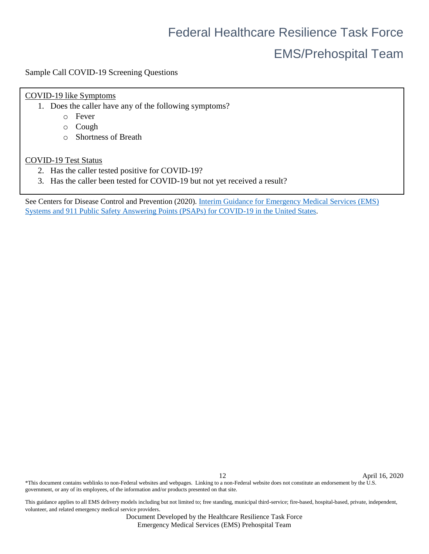## EMS/Prehospital Team

<span id="page-11-0"></span>Sample Call COVID-19 Screening Questions

### COVID-19 like Symptoms

- 1. Does the caller have any of the following symptoms?
	- o Fever
	- o Cough
	- o Shortness of Breath

### COVID-19 Test Status

- 2. Has the caller tested positive for COVID-19?
- 3. Has the caller been tested for COVID-19 but not yet received a result?

See Centers for Disease Control and Prevention (2020). [Interim Guidance for Emergency Medical Services \(EMS\)](https://www.cdc.gov/coronavirus/2019-ncov/hcp/guidance-for-ems.html)  [Systems and 911 Public Safety Answering Points \(PSAPs\) for COVID-19 in the United States.](https://www.cdc.gov/coronavirus/2019-ncov/hcp/guidance-for-ems.html)

12 April 16, 2020

\*This document contains weblinks to non-Federal websites and webpages. Linking to a non-Federal website does not constitute an endorsement by the U.S. government, or any of its employees, of the information and/or products presented on that site.

This guidance applies to all EMS delivery models including but not limited to; free standing, municipal third-service; fire-based, hospital-based, private, independent, volunteer, and related emergency medical service providers.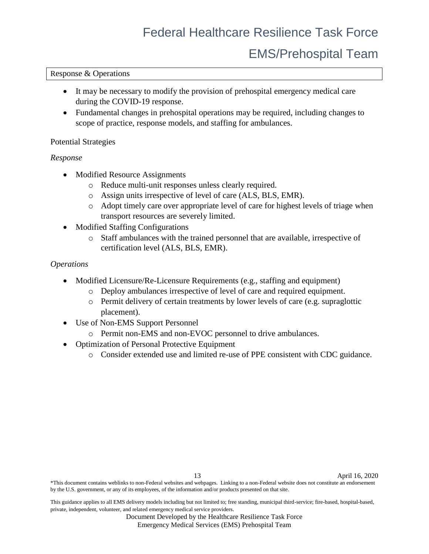## EMS/Prehospital Team

### <span id="page-12-0"></span>Response & Operations

- It may be necessary to modify the provision of prehospital emergency medical care during the COVID-19 response.
- Fundamental changes in prehospital operations may be required, including changes to scope of practice, response models, and staffing for ambulances.

### <span id="page-12-1"></span>Potential Strategies

### <span id="page-12-2"></span>*Response*

- Modified Resource Assignments
	- o Reduce multi-unit responses unless clearly required.
	- o Assign units irrespective of level of care (ALS, BLS, EMR).
	- o Adopt timely care over appropriate level of care for highest levels of triage when transport resources are severely limited.
- Modified Staffing Configurations
	- o Staff ambulances with the trained personnel that are available, irrespective of certification level (ALS, BLS, EMR).

#### <span id="page-12-3"></span>*Operations*

- Modified Licensure/Re-Licensure Requirements (e.g., staffing and equipment)
	- o Deploy ambulances irrespective of level of care and required equipment.
	- o Permit delivery of certain treatments by lower levels of care (e.g. supraglottic placement).
- Use of Non-EMS Support Personnel
	- o Permit non-EMS and non-EVOC personnel to drive ambulances.
- Optimization of Personal Protective Equipment
	- o Consider extended use and limited re-use of PPE consistent with CDC guidance.

\*This document contains weblinks to non-Federal websites and webpages. Linking to a non-Federal website does not constitute an endorsement by the U.S. government, or any of its employees, of the information and/or products presented on that site.

This guidance applies to all EMS delivery models including but not limited to; free standing, municipal third-service; fire-based, hospital-based, private, independent, volunteer, and related emergency medical service providers.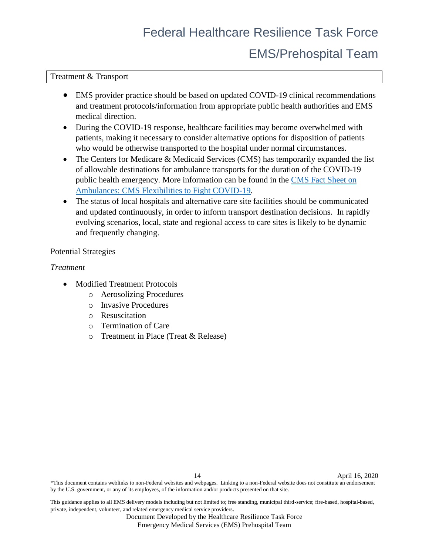## EMS/Prehospital Team

<span id="page-13-0"></span>Treatment & Transport

- EMS provider practice should be based on updated COVID-19 clinical recommendations and treatment protocols/information from appropriate public health authorities and EMS medical direction.
- During the COVID-19 response, healthcare facilities may become overwhelmed with patients, making it necessary to consider alternative options for disposition of patients who would be otherwise transported to the hospital under normal circumstances.
- The Centers for Medicare & Medicaid Services (CMS) has temporarily expanded the list of allowable destinations for ambulance transports for the duration of the COVID-19 public health emergency. More information can be found in the [CMS Fact Sheet on](https://www.cms.gov/files/document/covid-ambulances.pdf)  [Ambulances: CMS Flexibilities to Fight COVID-19.](https://www.cms.gov/files/document/covid-ambulances.pdf)
- The status of local hospitals and alternative care site facilities should be communicated and updated continuously, in order to inform transport destination decisions. In rapidly evolving scenarios, local, state and regional access to care sites is likely to be dynamic and frequently changing.

### <span id="page-13-1"></span>Potential Strategies

### <span id="page-13-2"></span>*Treatment*

- Modified Treatment Protocols
	- o Aerosolizing Procedures
	- o Invasive Procedures
	- o Resuscitation
	- o Termination of Care
	- o Treatment in Place (Treat & Release)

\*This document contains weblinks to non-Federal websites and webpages. Linking to a non-Federal website does not constitute an endorsement by the U.S. government, or any of its employees, of the information and/or products presented on that site.

This guidance applies to all EMS delivery models including but not limited to; free standing, municipal third-service; fire-based, hospital-based, private, independent, volunteer, and related emergency medical service providers.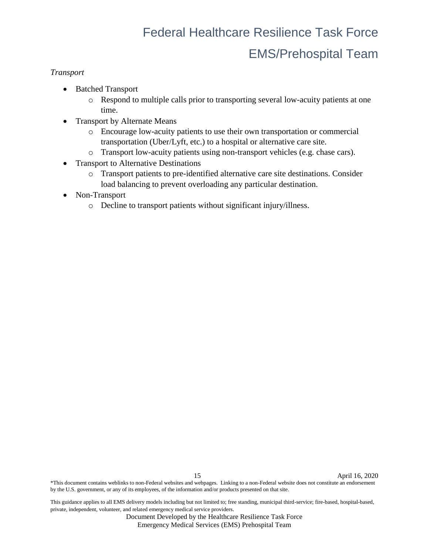### <span id="page-14-0"></span>*Transport*

- Batched Transport
	- o Respond to multiple calls prior to transporting several low-acuity patients at one time.
- Transport by Alternate Means
	- o Encourage low-acuity patients to use their own transportation or commercial transportation (Uber/Lyft, etc.) to a hospital or alternative care site.
	- o Transport low-acuity patients using non-transport vehicles (e.g. chase cars).
- Transport to Alternative Destinations
	- o Transport patients to pre-identified alternative care site destinations. Consider load balancing to prevent overloading any particular destination.
- Non-Transport
	- o Decline to transport patients without significant injury/illness.

15 April 16, 2020 \*This document contains weblinks to non-Federal websites and webpages. Linking to a non-Federal website does not constitute an endorsement by the U.S. government, or any of its employees, of the information and/or products presented on that site.

This guidance applies to all EMS delivery models including but not limited to; free standing, municipal third-service; fire-based, hospital-based, private, independent, volunteer, and related emergency medical service providers.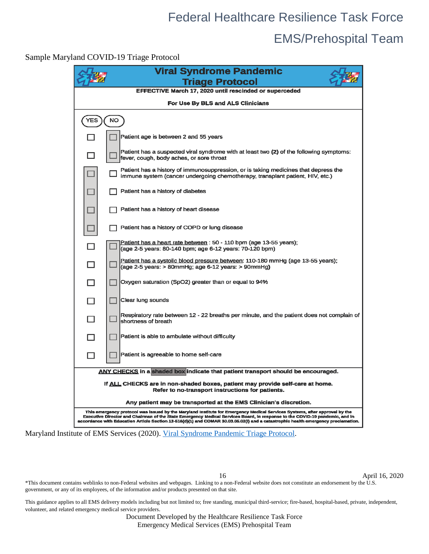## EMS/Prehospital Team

<span id="page-15-0"></span>Sample Maryland COVID-19 Triage Protocol

|                                                                                                                                   | <b>Viral Syndrome Pandemic</b><br><b>Triage Protocol</b>                                                                                                                                                                                                                                                                                                                                       |
|-----------------------------------------------------------------------------------------------------------------------------------|------------------------------------------------------------------------------------------------------------------------------------------------------------------------------------------------------------------------------------------------------------------------------------------------------------------------------------------------------------------------------------------------|
|                                                                                                                                   | EFFECTIVE March 17, 2020 until rescinded or superceded                                                                                                                                                                                                                                                                                                                                         |
|                                                                                                                                   | For Use By BLS and ALS Clinicians                                                                                                                                                                                                                                                                                                                                                              |
| <b>YES</b>                                                                                                                        | <b>NO</b>                                                                                                                                                                                                                                                                                                                                                                                      |
|                                                                                                                                   | Patient age is between 2 and 55 years                                                                                                                                                                                                                                                                                                                                                          |
|                                                                                                                                   | Patient has a suspected viral syndrome with at least two (2) of the following symptoms:<br>fever, cough, body aches, or sore throat                                                                                                                                                                                                                                                            |
|                                                                                                                                   | Patient has a history of immunosuppression, or is taking medicines that depress the<br>immune system (cancer undergoing chemotherapy, transplant patient, HIV, etc.)                                                                                                                                                                                                                           |
|                                                                                                                                   | Patient has a history of diabetes                                                                                                                                                                                                                                                                                                                                                              |
|                                                                                                                                   | Patient has a history of heart disease                                                                                                                                                                                                                                                                                                                                                         |
|                                                                                                                                   | Patient has a history of COPD or lung disease                                                                                                                                                                                                                                                                                                                                                  |
|                                                                                                                                   | Patient has a heart rate between: 50 - 110 bpm (age 13-55 years);<br>(age 2-5 years: 80-140 bpm; age 6-12 years: 70-120 bpm)                                                                                                                                                                                                                                                                   |
| П                                                                                                                                 | Patient has a systolic blood pressure between: 110-180 mmHq (age 13-55 years);<br>(age 2-5 years: > 80mmHg; age 6-12 years: > 90mmHg)                                                                                                                                                                                                                                                          |
| H                                                                                                                                 | Oxygen saturation (SpO2) greater than or equal to 94%                                                                                                                                                                                                                                                                                                                                          |
| П                                                                                                                                 | Clear lung sounds                                                                                                                                                                                                                                                                                                                                                                              |
| П                                                                                                                                 | Respiratory rate between 12 - 22 breaths per minute, and the patient does not complain of<br>Ishortness of breath                                                                                                                                                                                                                                                                              |
|                                                                                                                                   | Patient is able to ambulate without difficulty                                                                                                                                                                                                                                                                                                                                                 |
|                                                                                                                                   | Patient is agreeable to home self-care                                                                                                                                                                                                                                                                                                                                                         |
| <b>ANY CHECKS</b> in a shaded box indicate that patient transport should be encouraged.                                           |                                                                                                                                                                                                                                                                                                                                                                                                |
| If ALL CHECKS are in non-shaded boxes, patient may provide self-care at home.<br>Refer to no-transport instructions for patients. |                                                                                                                                                                                                                                                                                                                                                                                                |
| Any patient may be transported at the EMS Clinician's discretion.                                                                 |                                                                                                                                                                                                                                                                                                                                                                                                |
|                                                                                                                                   | This emergency protocol was issued by the Maryland institute for Emergency Medical Services Systems, after approval by the<br>Executive Director and Chairman of the State Emergency Medical Services Board, in response to the COVID-19 pandemic, and in<br>accordance with Education Article Section 13-516(d)(1) and COMAR 30.03.05.02(i) and a catastrophic health emergency proclamation. |

Maryland Institute of EMS Services (2020). [Viral Syndrome Pandemic Triage Protocol.](http://www.miemss.org/home/Portals/0/Docs/Infectious_Diseases/Viral-Syndrome-Pandemic-Triage-Protocol-20200317.pdf)

16 April 16, 2020

\*This document contains weblinks to non-Federal websites and webpages. Linking to a non-Federal website does not constitute an endorsement by the U.S. government, or any of its employees, of the information and/or products presented on that site.

This guidance applies to all EMS delivery models including but not limited to; free standing, municipal third-service; fire-based, hospital-based, private, independent, volunteer, and related emergency medical service providers.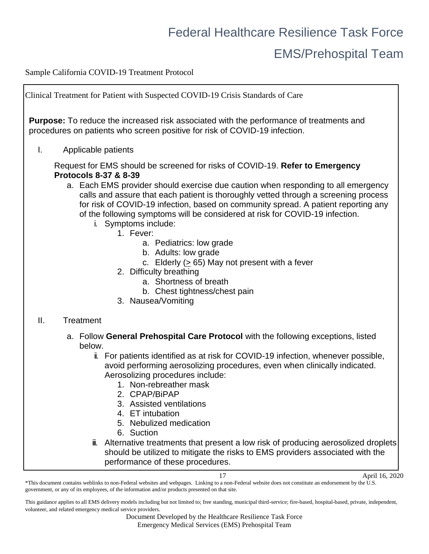## EMS/Prehospital Team

<span id="page-16-0"></span>Sample California COVID-19 Treatment Protocol

Clinical Treatment for Patient with Suspected COVID-19 Crisis Standards of Care **Purpose:** To reduce the increased risk associated with the performance of treatments and procedures on patients who screen positive for risk of COVID-19 infection. I. Applicable patients Request for EMS should be screened for risks of COVID-19. **Refer to Emergency Protocols 8-37 & 8-39** a. Each EMS provider should exercise due caution when responding to all emergency calls and assure that each patient is thoroughly vetted through a screening process for risk of COVID-19 infection, based on community spread. A patient reporting any of the following symptoms will be considered at risk for COVID-19 infection. i. Symptoms include: 1. Fever: a. Pediatrics: low grade b. Adults: low grade c. Elderly  $( \geq 65)$  May not present with a fever 2. Difficulty breathing a. Shortness of breath b. Chest tightness/chest pain 3. Nausea/Vomiting II. Treatment a. Follow **General Prehospital Care Protocol** with the following exceptions, listed below. ii. For patients identified as at risk for COVID-19 infection, whenever possible, avoid performing aerosolizing procedures, even when clinically indicated. Aerosolizing procedures include: 1. Non-rebreather mask 2. CPAP/BiPAP 3. Assisted ventilations 4. ET intubation 5. Nebulized medication 6. Suction iii. Alternative treatments that present a low risk of producing aerosolized droplets should be utilized to mitigate the risks to EMS providers associated with the

performance of these procedures.

<sup>17</sup> April 16, 2020 \*This document contains weblinks to non-Federal websites and webpages. Linking to a non-Federal website does not constitute an endorsement by the U.S. government, or any of its employees, of the information and/or products presented on that site.

This guidance applies to all EMS delivery models including but not limited to; free standing, municipal third-service; fire-based, hospital-based, private, independent, volunteer, and related emergency medical service providers.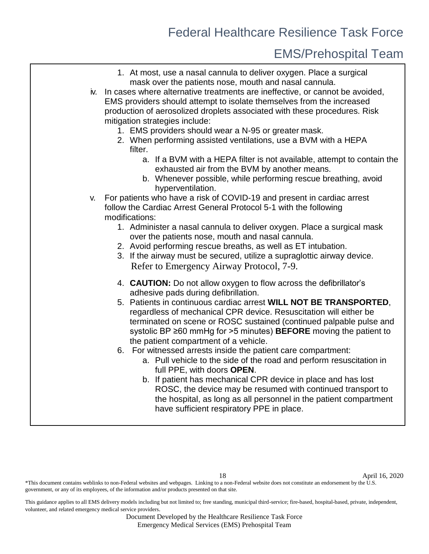### EMS/Prehospital Team

- 1. At most, use a nasal cannula to deliver oxygen. Place a surgical mask over the patients nose, mouth and nasal cannula.
- iv. In cases where alternative treatments are ineffective, or cannot be avoided, EMS providers should attempt to isolate themselves from the increased production of aerosolized droplets associated with these procedures. Risk mitigation strategies include:
	- 1. EMS providers should wear a N-95 or greater mask.
	- 2. When performing assisted ventilations, use a BVM with a HEPA filter.
		- a. If a BVM with a HEPA filter is not available, attempt to contain the exhausted air from the BVM by another means.
		- b. Whenever possible, while performing rescue breathing, avoid hyperventilation.
- v. For patients who have a risk of COVID-19 and present in cardiac arrest follow the Cardiac Arrest General Protocol 5-1 with the following modifications:
	- 1. Administer a nasal cannula to deliver oxygen. Place a surgical mask over the patients nose, mouth and nasal cannula.
	- 2. Avoid performing rescue breaths, as well as ET intubation.
	- 3. If the airway must be secured, utilize a supraglottic airway device. Refer to Emergency Airway Protocol, 7-9.
	- 4. **CAUTION:** Do not allow oxygen to flow across the defibrillator's adhesive pads during defibrillation.
	- 5. Patients in continuous cardiac arrest **WILL NOT BE TRANSPORTED**, regardless of mechanical CPR device. Resuscitation will either be terminated on scene or ROSC sustained (continued palpable pulse and systolic BP ≥60 mmHg for >5 minutes) **BEFORE** moving the patient to the patient compartment of a vehicle.
	- 6. For witnessed arrests inside the patient care compartment:
		- a. Pull vehicle to the side of the road and perform resuscitation in full PPE, with doors **OPEN**.
		- b. If patient has mechanical CPR device in place and has lost ROSC, the device may be resumed with continued transport to the hospital, as long as all personnel in the patient compartment have sufficient respiratory PPE in place.

 $*$ This document contains weblinks to non-Federal websites and webpages. Linking to a non-Federal website does not constitute an endorsement by the  $\tilde{U}$ .S. government, or any of its employees, of the information and/or products presented on that site.

This guidance applies to all EMS delivery models including but not limited to; free standing, municipal third-service; fire-based, hospital-based, private, independent, volunteer, and related emergency medical service providers.

<sup>18</sup> April 16, 2020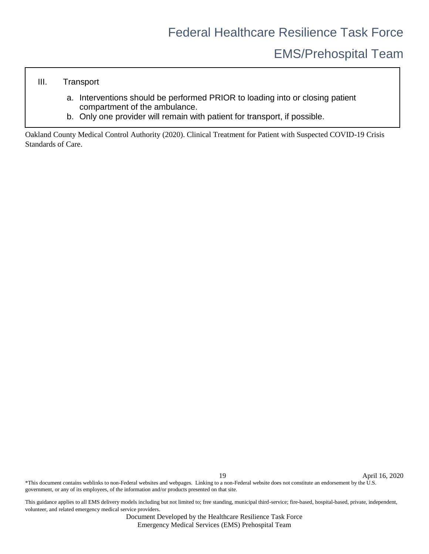## EMS/Prehospital Team

### III. Transport

- a. Interventions should be performed PRIOR to loading into or closing patient compartment of the ambulance.
- b. Only one provider will remain with patient for transport, if possible.

Oakland County Medical Control Authority (2020). Clinical Treatment for Patient with Suspected COVID-19 Crisis Standards of Care.

19 April 16, 2020

\*This document contains weblinks to non-Federal websites and webpages. Linking to a non-Federal website does not constitute an endorsement by the U.S. government, or any of its employees, of the information and/or products presented on that site.

This guidance applies to all EMS delivery models including but not limited to; free standing, municipal third-service; fire-based, hospital-based, private, independent, volunteer, and related emergency medical service providers.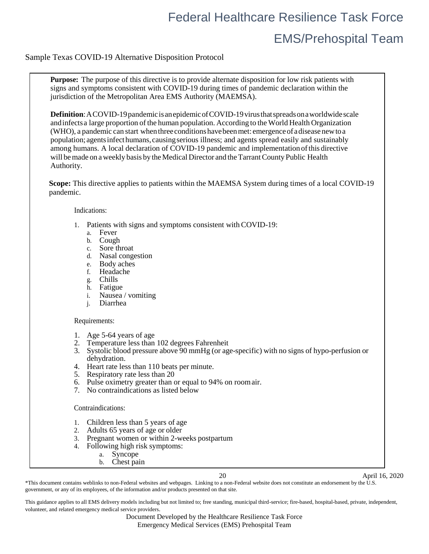### <span id="page-19-0"></span>Sample Texas COVID-19 Alternative Disposition Protocol

**Purpose:** The purpose of this directive is to provide alternate disposition for low risk patients with signs and symptoms consistent with COVID-19 during times of pandemic declaration within the jurisdiction of the Metropolitan Area EMS Authority (MAEMSA).

**Definition**: A COVID-19 pandemic is an epidemic of COVID-19 virus that spreads on a worldwide scale andinfectsa large proportion of the human population. According to the World Health Organization (WHO), a pandemic can start whenthree conditionshavebeenmet: emergenceof adisease newtoa population; agentsinfecthumans, causingserious illness; and agents spread easily and sustainably among humans. A local declaration of COVID-19 pandemic and implementation ofthis directive will be made on a weekly basis by the Medical Director and the Tarrant County Public Health Authority.

**Scope:** This directive applies to patients within the MAEMSA System during times of a local COVID-19 pandemic.

Indications:

- 1. Patients with signs and symptoms consistent with COVID-19:
	- a. Fever
	- b. Cough
	- c. Sore throat
	- d. Nasal congestion
	- e. Body aches
	- f. Headache
	- g. Chills
	-
	- h. Fatigue<br>i. Nausee Nausea / vomiting
	- j. Diarrhea

#### Requirements:

- 1. Age 5-64 years of age
- 2. Temperature less than 102 degrees Fahrenheit
- 3. Systolic blood pressure above 90 mmHg (or age-specific) with no signs of hypo-perfusion or dehydration.
- 4. Heart rate less than 110 beats per minute.
- 5. Respiratory rate less than 20
- 6. Pulse oximetry greater than or equal to 94% on roomair.
- 7. No contraindications as listed below

Contraindications:

- 1. Children less than 5 years of age
- 2. Adults 65 years of age or older
- 3. Pregnant women or within 2-weeks postpartum
- 4. Following high risk symptoms:
	- a. Syncope b. Chest pain

20 April 16, 2020

 $*$ This document contains weblinks to non-Federal websites and webpages. Linking to a non-Federal website does not constitute an endorsement by the  $\tilde{U}.S.$ government, or any of its employees, of the information and/or products presented on that site.

This guidance applies to all EMS delivery models including but not limited to; free standing, municipal third-service; fire-based, hospital-based, private, independent, volunteer, and related emergency medical service providers.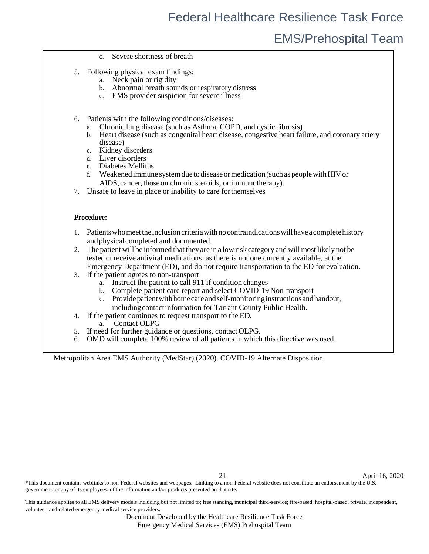### EMS/Prehospital Team

- c. Severe shortness of breath
- 5. Following physical exam findings:
	- a. Neck pain or rigidity
	- b. Abnormal breath sounds or respiratory distress
	- c. EMS provider suspicion for severe illness
- 6. Patients with the following conditions/diseases:
	- a. Chronic lung disease (such as Asthma, COPD, and cystic fibrosis)
	- b. Heart disease (such as congenital heart disease, congestive heart failure, and coronary artery disease)
	- c. Kidney disorders
	- d. Liver disorders
	- e. Diabetes Mellitus
	- f. Weakenedimmune systemdue todiseaseormedication(suchaspeoplewithHIVor AIDS, cancer, those on chronic steroids, or immunotherapy).
- 7. Unsafe to leave in place or inability to care forthemselves

#### <span id="page-20-0"></span>**Procedure:**

- 1. Patients who meet the inclusion criteria with no contraindications will have a complete history andphysical completed and documented.
- 2. The patient will be informed that they are in a low risk category and willmost likely not be tested orreceive antiviral medications, as there is not one currently available, at the Emergency Department (ED), and do not require transportation to the ED for evaluation.
- 3. If the patient agrees to non-transport
	- a. Instruct the patient to call 911 if condition changes
	- b. Complete patient care report and select COVID-19 Non-transport
	- c. Provide patient with home care and self-monitoring instructions and handout, includingcontactinformation for Tarrant County Public Health.
- 4. If the patient continues to request transport to the ED,
	- a. Contact OLPG
- 5. If need for further guidance or questions, contact OLPG.
- 6. OMD will complete 100% review of all patients in which this directive was used.

Metropolitan Area EMS Authority (MedStar) (2020). COVID-19 Alternate Disposition.

21 April 16, 2020

 $*$ This document contains weblinks to non-Federal websites and webpages. Linking to a non-Federal website does not constitute an endorsement by the  $\tilde{U}.S.$ government, or any of its employees, of the information and/or products presented on that site.

This guidance applies to all EMS delivery models including but not limited to; free standing, municipal third-service; fire-based, hospital-based, private, independent, volunteer, and related emergency medical service providers.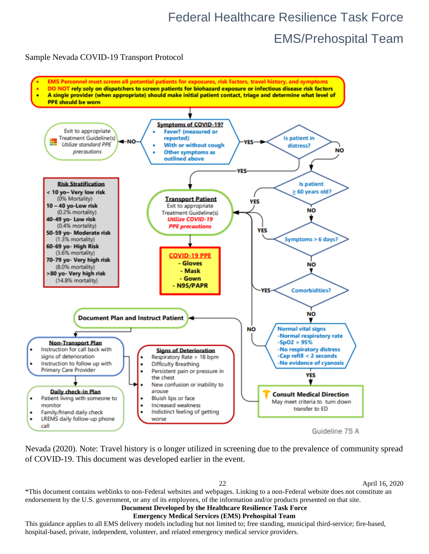<span id="page-21-0"></span>Sample Nevada COVID-19 Transport Protocol



Nevada (2020). Note: Travel history is o longer utilized in screening due to the prevalence of community spread of COVID-19. This document was developed earlier in the event.

22 April 16, 2020

\*This document contains weblinks to non-Federal websites and webpages. Linking to a non-Federal website does not constitute an endorsement by the U.S. government, or any of its employees, of the information and/or products presented on that site.

### **Document Developed by the Healthcare Resilience Task Force**

**Emergency Medical Services (EMS) Prehospital Team**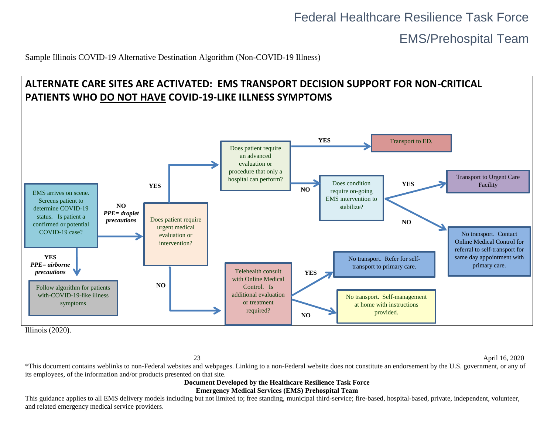EMS/Prehospital Team

Sample Illinois COVID-19 Alternative Destination Algorithm (Non-COVID-19 Illness)

<span id="page-22-0"></span>

Illinois (2020).

23 April 16, 2020

\*This document contains weblinks to non-Federal websites and webpages. Linking to a non-Federal website does not constitute an endorsement by the U.S. government, or any of its employees, of the information and/or products presented on that site.

#### **Document Developed by the Healthcare Resilience Task Force Emergency Medical Services (EMS) Prehospital Team**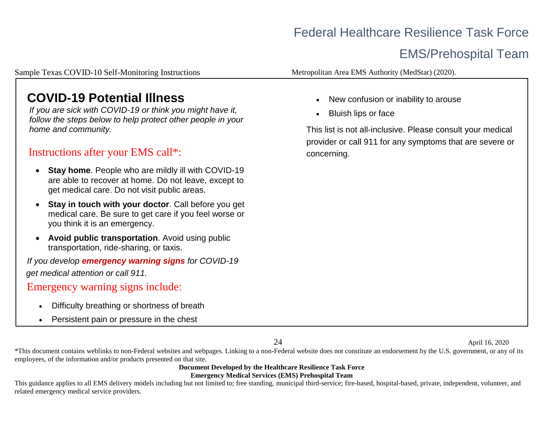## EMS/Prehospital Team

Sample Texas COVID-10 Self-Monitoring Instructions

Metropolitan Area EMS Authority (MedStar) (2020).

## **COVID-19 Potential Illness**

*If you are sick with COVID-19 or think you might have it, follow the steps below to help protect other people in your home and community.*

### Instructions after your EMS call\*:

- **Stay home**. People who are mildly ill with COVID-19 are able to recover at home. Do not leave, except to get medical care. Do not visit public areas.
- <span id="page-23-0"></span>• **Stay in touch with your doctor**. Call before you get medical care. Be sure to get care if you feel worse or you think it is an emergency.
- **Avoid public transportation**. Avoid using public transportation, ride-sharing, or taxis.

*If you develop emergency warning signs for COVID-19 get medical attention or call 911.*

### Emergency warning signs include:

- Difficulty breathing or shortness of breath
- Persistent pain or pressure in the chest
- New confusion or inability to arouse
- Bluish lips or face

This list is not all-inclusive. Please consult your medical provider or call 911 for any symptoms that are severe or concerning.

24 April 16, 2020

\*This document contains weblinks to non-Federal websites and webpages. Linking to a non-Federal website does not constitute an endorsement by the U.S. government, or any of its employees, of the information and/or products presented on that site.

#### **Document Developed by the Healthcare Resilience Task Force Emergency Medical Services (EMS) Prehospital Team**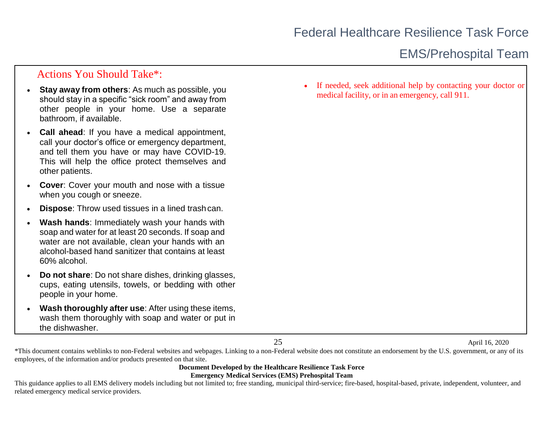### Actions You Should Take\*:

- **Stay away from others:** As much as possible, you should stay in a specific "sick room" and away from other people in your home. Use a separate bathroom, if available.
- **Call ahead:** If you have a medical appointment, call your doctor's office or emergency department, and tell them you have or may have COVID-19. This will help the office protect themselves and other patients.
- **Cover:** Cover your mouth and nose with a tissue when you cough or sneeze.
- <span id="page-24-0"></span>**Dispose:** Throw used tissues in a lined trashcan.
- **Wash hands**: Immediately wash your hands with soap and water for at least 20 seconds. If soap and water are not available, clean your hands with an alcohol-based hand sanitizer that contains at least 60% alcohol.
- **Do not share**: Do not share dishes, drinking glasses, cups, eating utensils, towels, or bedding with other people in your home.
- **Wash thoroughly after use:** After using these items, wash them thoroughly with soap and water or put in the dishwasher.

If needed, seek additional help by contacting your doctor or medical facility, or in an emergency, call 911.

25 April 16, 2020

\*This document contains weblinks to non-Federal websites and webpages. Linking to a non-Federal website does not constitute an endorsement by the U.S. government, or any of its employees, of the information and/or products presented on that site.

#### **Document Developed by the Healthcare Resilience Task Force Emergency Medical Services (EMS) Prehospital Team**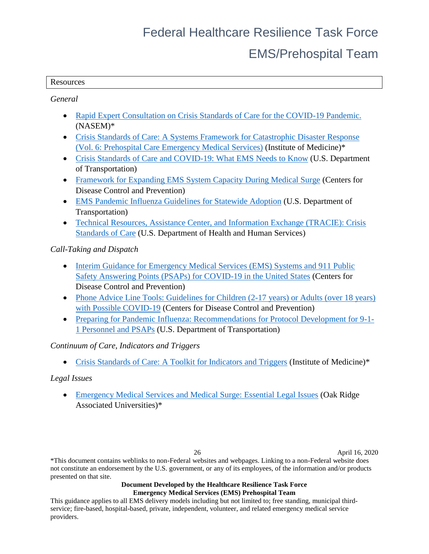## EMS/Prehospital Team

#### <span id="page-25-0"></span>**Resources**

*General*

- [Rapid Expert Consultation on Crisis Standards of Care for the COVID-19 Pandemic.](https://files.asprtracie.hhs.gov/documents/nap-rapid-expert-consultation-on-csc-for-covid-19-pandemic.pdf) (NASEM)\*
- Crisis Standards of Care: A Systems Framework for Catastrophic Disaster Response [\(Vol. 6: Prehospital Care Emergency Medical Services\)](https://www.ncbi.nlm.nih.gov/books/NBK201058/) (Institute of Medicine)\*
- [Crisis Standards of Care and COVID-19: What EMS Needs to Know](https://www.youtube.com/watch?v=bx07GlMpSCE) (U.S. Department of Transportation)
- [Framework for Expanding EMS System Capacity During Medical Surge](https://www.cdc.gov/cpr/readiness/healthcare/Expanding-EMS-Systems.htm) (Centers for Disease Control and Prevention)
- [EMS Pandemic Influenza Guidelines for Statewide Adoption](https://icsw.nhtsa.gov/people/injury/ems/PandemicInfluenzaGuidelines/) (U.S. Department of Transportation)
- [Technical Resources, Assistance Center, and Information Exchange \(TRACIE\): Crisis](https://asprtracie.hhs.gov/technical-resources/63/crisis-standards-of-care/)  [Standards of Care](https://asprtracie.hhs.gov/technical-resources/63/crisis-standards-of-care/) (U.S. Department of Health and Human Services)

*Call-Taking and Dispatch*

- Interim Guidance for Emergency Medical Services (EMS) Systems and 911 Public [Safety Answering Points \(PSAPs\) for COVID-19 in the United States](https://www.cdc.gov/coronavirus/2019-ncov/hcp/guidance-for-ems.html) (Centers for Disease Control and Prevention)
- Phone Advice Line Tools: Guidelines for Children (2-17 years) or Adults (over 18 years) [with Possible COVID-19](https://www.cdc.gov/coronavirus/2019-ncov/phone-guide/) (Centers for Disease Control and Prevention)
- [Preparing for Pandemic Influenza: Recommendations for Protocol Development for 9-1-](https://icsw.nhtsa.gov/people/injury/ems/PandemicInfluenza/) [1 Personnel and PSAPs](https://icsw.nhtsa.gov/people/injury/ems/PandemicInfluenza/) (U.S. Department of Transportation)

### *Continuum of Care, Indicators and Triggers*

• [Crisis Standards of Care: A Toolkit for Indicators and Triggers](https://www.nap.edu/catalog/18338/crisis-standards-of-care-a-toolkit-for-indicators-and-triggers) (Institute of Medicine)\*

### *Legal Issues*

• [Emergency Medical Services and Medical Surge: Essential Legal Issues](https://asprtracie.hhs.gov/technical-resources/resource/7420/emncy-medical-services-and-patient-surge-essential-legal-issues) (Oak Ridge) Associated Universities)\*

26 April 16, 2020

\*This document contains weblinks to non-Federal websites and webpages. Linking to a non-Federal website does not constitute an endorsement by the U.S. government, or any of its employees, of the information and/or products presented on that site.

#### **Document Developed by the Healthcare Resilience Task Force Emergency Medical Services (EMS) Prehospital Team**